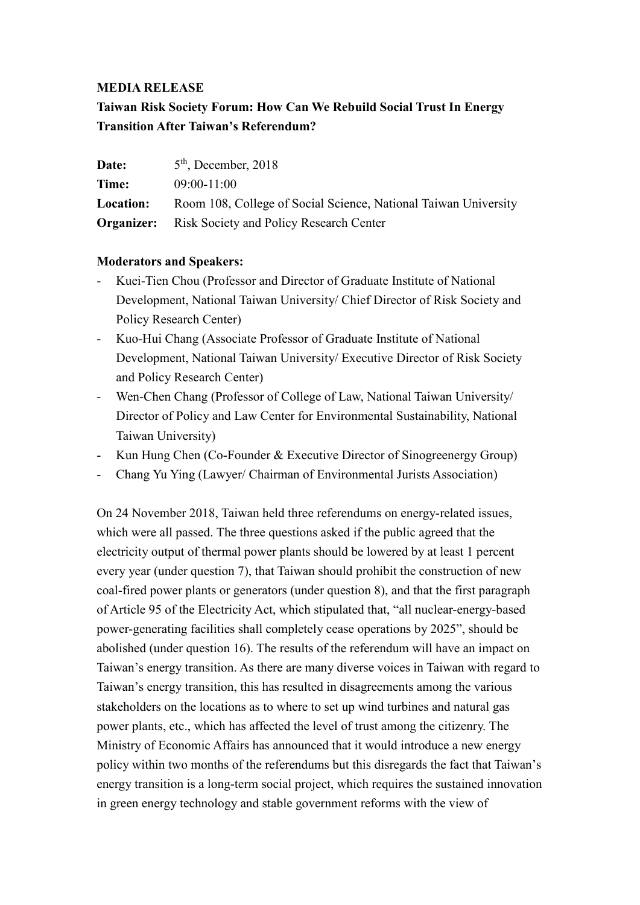## **MEDIA RELEASE**

## **Taiwan Risk Society Forum: How Can We Rebuild Social Trust In Energy Transition After Taiwan's Referendum?**

| Date:            | $5th$ , December, 2018                                          |
|------------------|-----------------------------------------------------------------|
| Time:            | $09:00-11:00$                                                   |
| <b>Location:</b> | Room 108, College of Social Science, National Taiwan University |
|                  | <b>Organizer:</b> Risk Society and Policy Research Center       |

## **Moderators and Speakers:**

- Kuei-Tien Chou (Professor and Director of Graduate Institute of National Development, National Taiwan University/ Chief Director of Risk Society and Policy Research Center)
- Kuo-Hui Chang (Associate Professor of Graduate Institute of National Development, National Taiwan University/ Executive Director of Risk Society and Policy Research Center)
- Wen-Chen Chang (Professor of College of Law, National Taiwan University/ Director of Policy and Law Center for Environmental Sustainability, National Taiwan University)
- Kun Hung Chen (Co-Founder & Executive Director of Sinogreenergy Group)
- Chang Yu Ying (Lawyer/ Chairman of Environmental Jurists Association)

On 24 November 2018, Taiwan held three referendums on energy-related issues, which were all passed. The three questions asked if the public agreed that the electricity output of thermal power plants should be lowered by at least 1 percent every year (under question 7), that Taiwan should prohibit the construction of new coal-fired power plants or generators (under question 8), and that the first paragraph of Article 95 of the Electricity Act, which stipulated that, "all nuclear-energy-based power-generating facilities shall completely cease operations by 2025", should be abolished (under question 16). The results of the referendum will have an impact on Taiwan's energy transition. As there are many diverse voices in Taiwan with regard to Taiwan's energy transition, this has resulted in disagreements among the various stakeholders on the locations as to where to set up wind turbines and natural gas power plants, etc., which has affected the level of trust among the citizenry. The Ministry of Economic Affairs has announced that it would introduce a new energy policy within two months of the referendums but this disregards the fact that Taiwan's energy transition is a long-term social project, which requires the sustained innovation in green energy technology and stable government reforms with the view of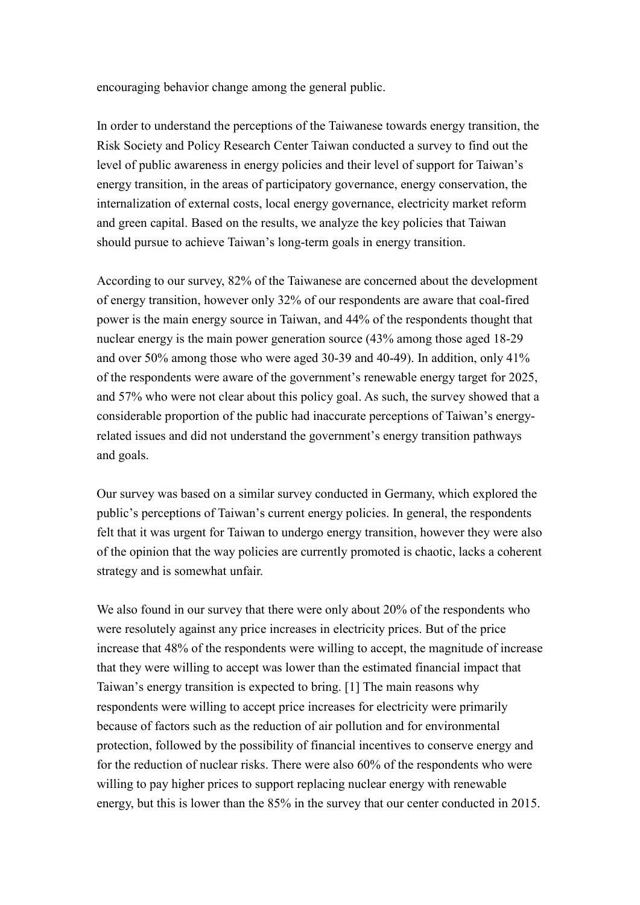encouraging behavior change among the general public.

In order to understand the perceptions of the Taiwanese towards energy transition, the Risk Society and Policy Research Center Taiwan conducted a survey to find out the level of public awareness in energy policies and their level of support for Taiwan's energy transition, in the areas of participatory governance, energy conservation, the internalization of external costs, local energy governance, electricity market reform and green capital. Based on the results, we analyze the key policies that Taiwan should pursue to achieve Taiwan's long-term goals in energy transition.

According to our survey, 82% of the Taiwanese are concerned about the development of energy transition, however only 32% of our respondents are aware that coal-fired power is the main energy source in Taiwan, and 44% of the respondents thought that nuclear energy is the main power generation source (43% among those aged 18-29 and over 50% among those who were aged 30-39 and 40-49). In addition, only 41% of the respondents were aware of the government's renewable energy target for 2025, and 57% who were not clear about this policy goal. As such, the survey showed that a considerable proportion of the public had inaccurate perceptions of Taiwan's energyrelated issues and did not understand the government's energy transition pathways and goals.

Our survey was based on a similar survey conducted in Germany, which explored the public's perceptions of Taiwan's current energy policies. In general, the respondents felt that it was urgent for Taiwan to undergo energy transition, however they were also of the opinion that the way policies are currently promoted is chaotic, lacks a coherent strategy and is somewhat unfair.

We also found in our survey that there were only about 20% of the respondents who were resolutely against any price increases in electricity prices. But of the price increase that 48% of the respondents were willing to accept, the magnitude of increase that they were willing to accept was lower than the estimated financial impact that Taiwan's energy transition is expected to bring. [1] The main reasons why respondents were willing to accept price increases for electricity were primarily because of factors such as the reduction of air pollution and for environmental protection, followed by the possibility of financial incentives to conserve energy and for the reduction of nuclear risks. There were also 60% of the respondents who were willing to pay higher prices to support replacing nuclear energy with renewable energy, but this is lower than the 85% in the survey that our center conducted in 2015.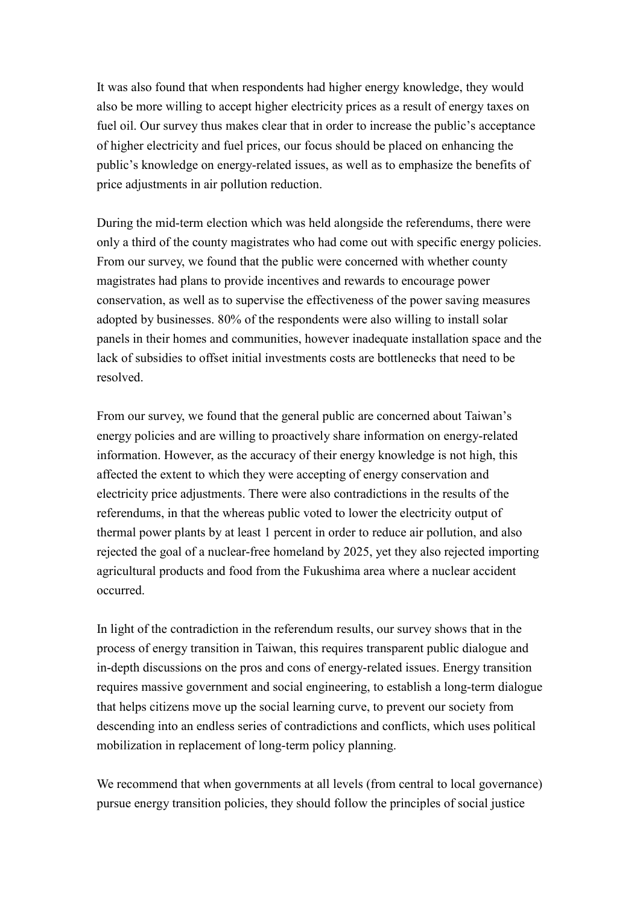It was also found that when respondents had higher energy knowledge, they would also be more willing to accept higher electricity prices as a result of energy taxes on fuel oil. Our survey thus makes clear that in order to increase the public's acceptance of higher electricity and fuel prices, our focus should be placed on enhancing the public's knowledge on energy-related issues, as well as to emphasize the benefits of price adjustments in air pollution reduction.

During the mid-term election which was held alongside the referendums, there were only a third of the county magistrates who had come out with specific energy policies. From our survey, we found that the public were concerned with whether county magistrates had plans to provide incentives and rewards to encourage power conservation, as well as to supervise the effectiveness of the power saving measures adopted by businesses. 80% of the respondents were also willing to install solar panels in their homes and communities, however inadequate installation space and the lack of subsidies to offset initial investments costs are bottlenecks that need to be resolved.

From our survey, we found that the general public are concerned about Taiwan's energy policies and are willing to proactively share information on energy-related information. However, as the accuracy of their energy knowledge is not high, this affected the extent to which they were accepting of energy conservation and electricity price adjustments. There were also contradictions in the results of the referendums, in that the whereas public voted to lower the electricity output of thermal power plants by at least 1 percent in order to reduce air pollution, and also rejected the goal of a nuclear-free homeland by 2025, yet they also rejected importing agricultural products and food from the Fukushima area where a nuclear accident occurred.

In light of the contradiction in the referendum results, our survey shows that in the process of energy transition in Taiwan, this requires transparent public dialogue and in-depth discussions on the pros and cons of energy-related issues. Energy transition requires massive government and social engineering, to establish a long-term dialogue that helps citizens move up the social learning curve, to prevent our society from descending into an endless series of contradictions and conflicts, which uses political mobilization in replacement of long-term policy planning.

We recommend that when governments at all levels (from central to local governance) pursue energy transition policies, they should follow the principles of social justice